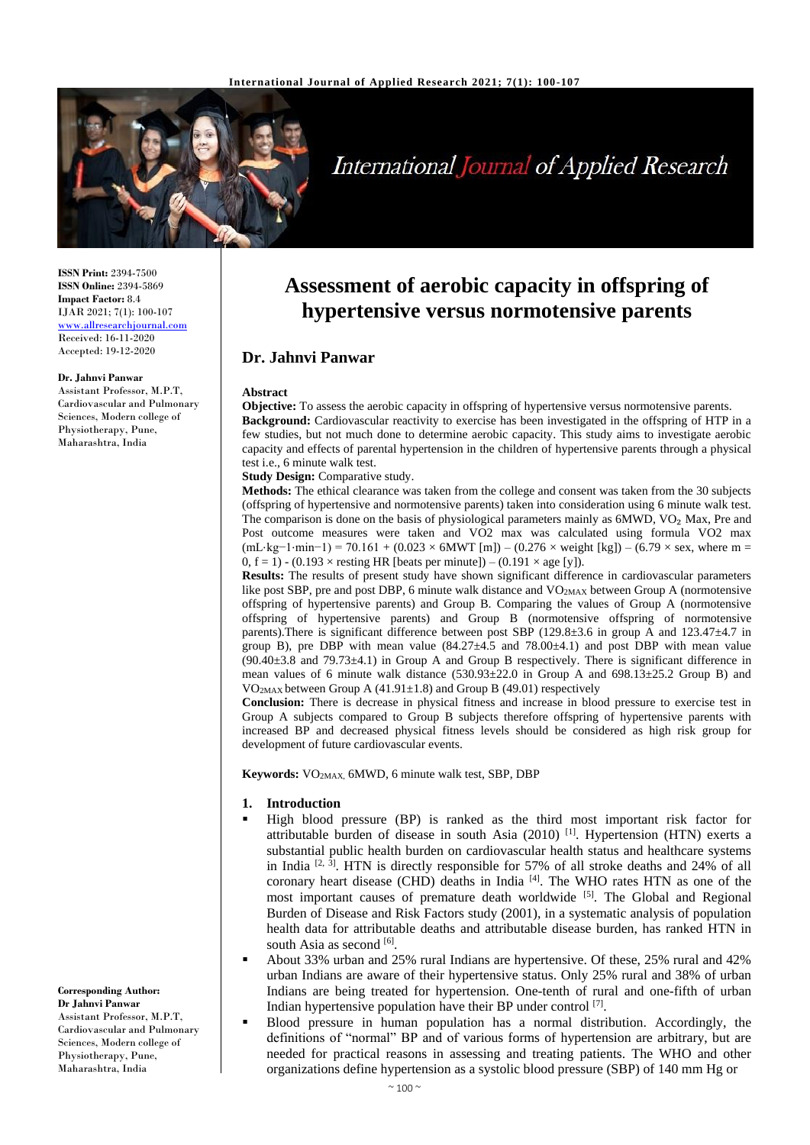

# **International Journal of Applied Research**

**ISSN Print:** 2394-7500 **ISSN Online:** 2394-5869 **Impact Factor:** 8.4 IJAR 2021; 7(1): 100-107 <www.allresearchjournal.com> Received: 16-11-2020 Accepted: 19-12-2020

#### **Dr. Jahnvi Panwar**

Assistant Professor, M.P.T, Cardiovascular and Pulmonary Sciences, Modern college of Physiotherapy, Pune, Maharashtra, India

**Corresponding Author: Dr Jahnvi Panwar** Assistant Professor, M.P.T, Cardiovascular and Pulmonary Sciences, Modern college of Physiotherapy, Pune, Maharashtra, India

# **Assessment of aerobic capacity in offspring of hypertensive versus normotensive parents**

# **Dr. Jahnvi Panwar**

#### **Abstract**

**Objective:** To assess the aerobic capacity in offspring of hypertensive versus normotensive parents. **Background:** Cardiovascular reactivity to exercise has been investigated in the offspring of HTP in a few studies, but not much done to determine aerobic capacity. This study aims to investigate aerobic capacity and effects of parental hypertension in the children of hypertensive parents through a physical test i.e., 6 minute walk test.

**Study Design:** Comparative study.

**Methods:** The ethical clearance was taken from the college and consent was taken from the 30 subjects (offspring of hypertensive and normotensive parents) taken into consideration using 6 minute walk test. The comparison is done on the basis of physiological parameters mainly as  $6MWD$ , VO<sub>2</sub> Max, Pre and Post outcome measures were taken and VO2 max was calculated using formula VO2 max  $(mL \cdot kg-1 \cdot min-1) = 70.161 + (0.023 \times 6MWT [m]) - (0.276 \times weight [kg]) - (6.79 \times sex, where m =$  $0, f = 1$ ) - (0.193 × resting HR [beats per minute]) – (0.191 × age [y]).

**Results:** The results of present study have shown significant difference in cardiovascular parameters like post SBP, pre and post DBP, 6 minute walk distance and VO<sub>2MAX</sub> between Group A (normotensive offspring of hypertensive parents) and Group B. Comparing the values of Group A (normotensive offspring of hypertensive parents) and Group B (normotensive offspring of normotensive parents).There is significant difference between post SBP (129.8±3.6 in group A and 123.47±4.7 in group B), pre DBP with mean value  $(84.27\pm4.5$  and  $78.00\pm4.1)$  and post DBP with mean value (90.40±3.8 and 79.73±4.1) in Group A and Group B respectively. There is significant difference in mean values of 6 minute walk distance  $(530.93\pm22.0 \text{ in } G$  and  $698.13\pm25.2 \text{ Group B})$  and VO2MAX between Group A (41.91±1.8) and Group B (49.01) respectively

**Conclusion:** There is decrease in physical fitness and increase in blood pressure to exercise test in Group A subjects compared to Group B subjects therefore offspring of hypertensive parents with increased BP and decreased physical fitness levels should be considered as high risk group for development of future cardiovascular events.

**Keywords:** VO2MAX, 6MWD, 6 minute walk test, SBP, DBP

#### **1. Introduction**

- High blood pressure (BP) is ranked as the third most important risk factor for attributable burden of disease in south Asia  $(2010)$ <sup>[1]</sup>. Hypertension (HTN) exerts a substantial public health burden on cardiovascular health status and healthcare systems in India  $[2, 3]$ . HTN is directly responsible for 57% of all stroke deaths and 24% of all coronary heart disease (CHD) deaths in India<sup>[4]</sup>. The WHO rates HTN as one of the most important causes of premature death worldwide [5]. The Global and Regional Burden of Disease and Risk Factors study (2001), in a systematic analysis of population health data for attributable deaths and attributable disease burden, has ranked HTN in south Asia as second [6].
- About 33% urban and 25% rural Indians are hypertensive. Of these, 25% rural and 42% urban Indians are aware of their hypertensive status. Only 25% rural and 38% of urban Indians are being treated for hypertension. One-tenth of rural and one-fifth of urban Indian hypertensive population have their BP under control [7].
- Blood pressure in human population has a normal distribution. Accordingly, the definitions of "normal" BP and of various forms of hypertension are arbitrary, but are needed for practical reasons in assessing and treating patients. The WHO and other organizations define hypertension as a systolic blood pressure (SBP) of 140 mm Hg or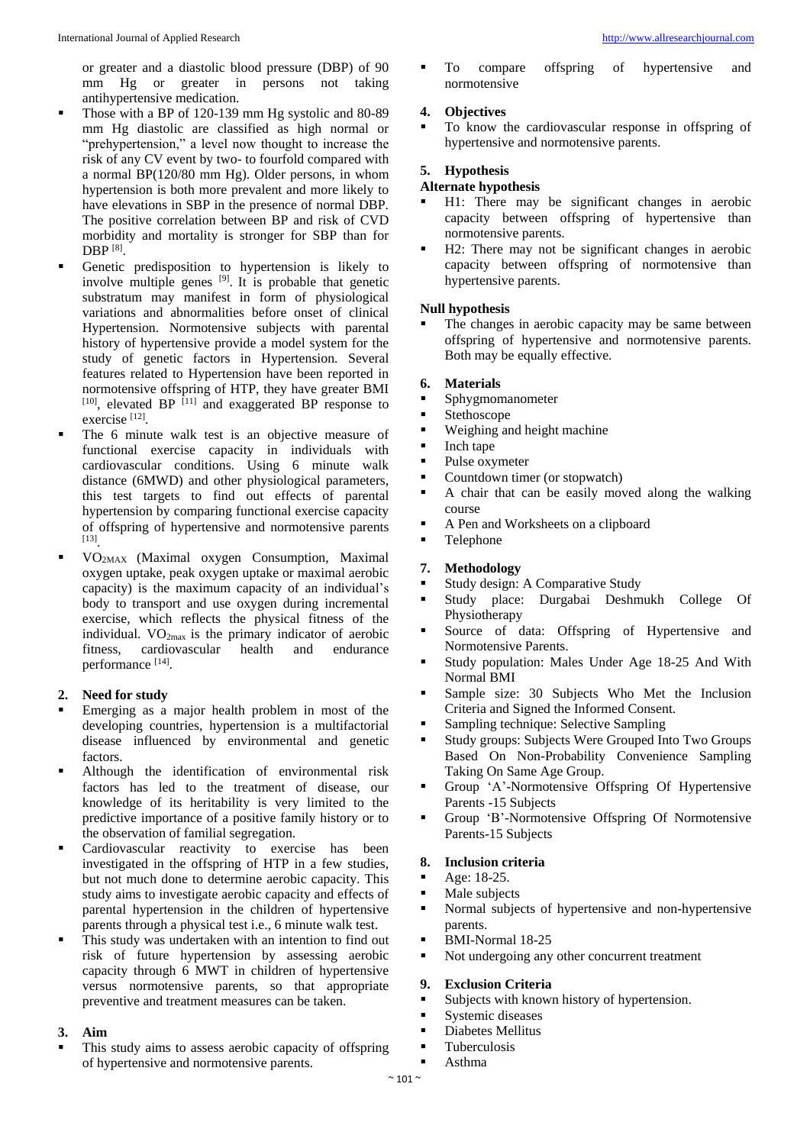or greater and a diastolic blood pressure (DBP) of 90 mm Hg or greater in persons not taking antihypertensive medication.

- Those with a BP of 120-139 mm Hg systolic and 80-89 mm Hg diastolic are classified as high normal or "prehypertension," a level now thought to increase the risk of any CV event by two- to fourfold compared with a normal BP(120/80 mm Hg). Older persons, in whom hypertension is both more prevalent and more likely to have elevations in SBP in the presence of normal DBP. The positive correlation between BP and risk of CVD morbidity and mortality is stronger for SBP than for DBP [8] .
- Genetic predisposition to hypertension is likely to involve multiple genes  $[9]$ . It is probable that genetic substratum may manifest in form of physiological variations and abnormalities before onset of clinical Hypertension. Normotensive subjects with parental history of hypertensive provide a model system for the study of genetic factors in Hypertension. Several features related to Hypertension have been reported in normotensive offspring of HTP, they have greater BMI  $[10]$ , elevated BP  $[11]$  and exaggerated BP response to exercise<sup>[12]</sup>.
- The 6 minute walk test is an objective measure of functional exercise capacity in individuals with cardiovascular conditions. Using 6 minute walk distance (6MWD) and other physiological parameters, this test targets to find out effects of parental hypertension by comparing functional exercise capacity of offspring of hypertensive and normotensive parents [13] .
- VO2MAX (Maximal oxygen Consumption, Maximal oxygen uptake, peak oxygen uptake or maximal aerobic capacity) is the maximum capacity of an individual's body to transport and use oxygen during incremental exercise, which reflects the physical fitness of the individual.  $VO_{2max}$  is the primary indicator of aerobic<br>fitness. cardiovascular health and endurance fitness, cardiovascular health and endurance performance [14].

## **2. Need for study**

- Emerging as a major health problem in most of the developing countries, hypertension is a multifactorial disease influenced by environmental and genetic factors.
- Although the identification of environmental risk factors has led to the treatment of disease, our knowledge of its heritability is very limited to the predictive importance of a positive family history or to the observation of familial segregation.
- Cardiovascular reactivity to exercise has been investigated in the offspring of HTP in a few studies, but not much done to determine aerobic capacity. This study aims to investigate aerobic capacity and effects of parental hypertension in the children of hypertensive parents through a physical test i.e., 6 minute walk test.
- This study was undertaken with an intention to find out risk of future hypertension by assessing aerobic capacity through 6 MWT in children of hypertensive versus normotensive parents, so that appropriate preventive and treatment measures can be taken.

# **3. Aim**

 This study aims to assess aerobic capacity of offspring of hypertensive and normotensive parents.

 To compare offspring of hypertensive and normotensive

# **4. Objectives**

 To know the cardiovascular response in offspring of hypertensive and normotensive parents.

# **5. Hypothesis**

## **Alternate hypothesis**

- H1: There may be significant changes in aerobic capacity between offspring of hypertensive than normotensive parents.
- H2: There may not be significant changes in aerobic capacity between offspring of normotensive than hypertensive parents.

## **Null hypothesis**

 The changes in aerobic capacity may be same between offspring of hypertensive and normotensive parents. Both may be equally effective.

# **6. Materials**

- **Sphygmomanometer**
- **Stethoscope**
- Weighing and height machine
- **Inch tape**
- Pulse oxymeter
- Countdown timer (or stopwatch)
- A chair that can be easily moved along the walking course
- A Pen and Worksheets on a clipboard
- Telephone

# **7. Methodology**

- Study design: A Comparative Study
- Study place: Durgabai Deshmukh College Of Physiotherapy
- Source of data: Offspring of Hypertensive and Normotensive Parents.
- Study population: Males Under Age 18-25 And With Normal BMI
- Sample size: 30 Subjects Who Met the Inclusion Criteria and Signed the Informed Consent.
- Sampling technique: Selective Sampling
- Study groups: Subjects Were Grouped Into Two Groups Based On Non-Probability Convenience Sampling Taking On Same Age Group.
- Group 'A'-Normotensive Offspring Of Hypertensive Parents -15 Subjects
- Group 'B'-Normotensive Offspring Of Normotensive Parents-15 Subjects

## **8. Inclusion criteria**

- $Age: 18-25.$
- Male subjects
- Normal subjects of hypertensive and non-hypertensive parents.
- BMI-Normal 18-25
- Not undergoing any other concurrent treatment

## **9. Exclusion Criteria**

- Subjects with known history of hypertension.
- **Systemic diseases**
- Diabetes Mellitus
- Tuberculosis
- Asthma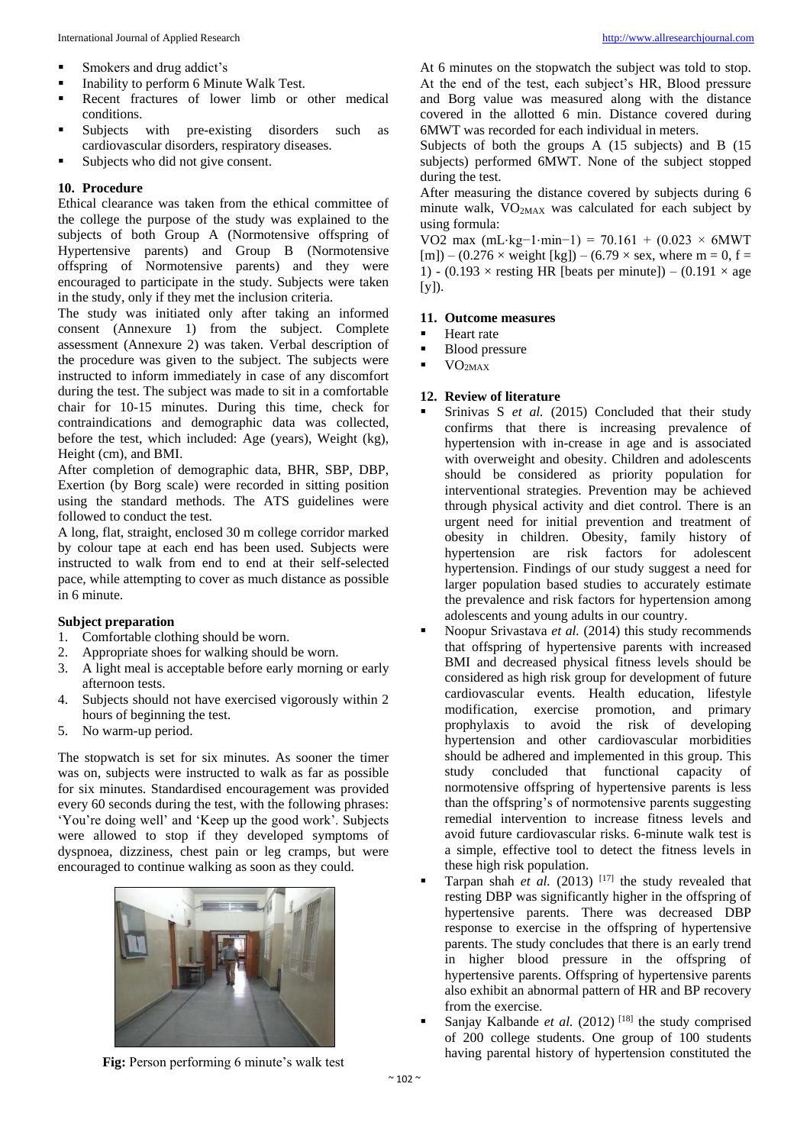- **Smokers and drug addict's**
- Inability to perform 6 Minute Walk Test.
- Recent fractures of lower limb or other medical conditions.
- Subjects with pre-existing disorders such as cardiovascular disorders, respiratory diseases.
- Subjects who did not give consent.

#### **10. Procedure**

Ethical clearance was taken from the ethical committee of the college the purpose of the study was explained to the subjects of both Group A (Normotensive offspring of Hypertensive parents) and Group B (Normotensive offspring of Normotensive parents) and they were encouraged to participate in the study. Subjects were taken in the study, only if they met the inclusion criteria.

The study was initiated only after taking an informed consent (Annexure 1) from the subject. Complete assessment (Annexure 2) was taken. Verbal description of the procedure was given to the subject. The subjects were instructed to inform immediately in case of any discomfort during the test. The subject was made to sit in a comfortable chair for 10-15 minutes. During this time, check for contraindications and demographic data was collected, before the test, which included: Age (years), Weight (kg), Height (cm), and BMI.

After completion of demographic data, BHR, SBP, DBP, Exertion (by Borg scale) were recorded in sitting position using the standard methods. The ATS guidelines were followed to conduct the test.

A long, flat, straight, enclosed 30 m college corridor marked by colour tape at each end has been used. Subjects were instructed to walk from end to end at their self-selected pace, while attempting to cover as much distance as possible in 6 minute.

#### **Subject preparation**

- 1. Comfortable clothing should be worn.
- 2. Appropriate shoes for walking should be worn.
- 3. A light meal is acceptable before early morning or early afternoon tests.
- 4. Subjects should not have exercised vigorously within 2 hours of beginning the test.
- 5. No warm-up period.

The stopwatch is set for six minutes. As sooner the timer was on, subjects were instructed to walk as far as possible for six minutes. Standardised encouragement was provided every 60 seconds during the test, with the following phrases: 'You're doing well' and 'Keep up the good work'. Subjects were allowed to stop if they developed symptoms of dyspnoea, dizziness, chest pain or leg cramps, but were encouraged to continue walking as soon as they could.



**Fig:** Person performing 6 minute's walk test

At 6 minutes on the stopwatch the subject was told to stop. At the end of the test, each subject's HR, Blood pressure and Borg value was measured along with the distance covered in the allotted 6 min. Distance covered during 6MWT was recorded for each individual in meters.

Subjects of both the groups A (15 subjects) and B (15 subjects) performed 6MWT. None of the subject stopped during the test.

After measuring the distance covered by subjects during 6 minute walk, VO2MAX was calculated for each subject by using formula:

VO2 max (mL⋅kg-1⋅min-1) = 70.161 + (0.023 × 6MWT  $[m]$  – (0.276  $\times$  weight  $[kg]$ ) – (6.79  $\times$  sex, where m = 0, f = 1) - (0.193  $\times$  resting HR [beats per minute]) – (0.191  $\times$  age [y]).

#### **11. Outcome measures**

- Heart rate
- Blood pressure
- VO2MAX

#### **12. Review of literature**

- Srinivas S et al. (2015) Concluded that their study confirms that there is increasing prevalence of hypertension with in-crease in age and is associated with overweight and obesity. Children and adolescents should be considered as priority population for interventional strategies. Prevention may be achieved through physical activity and diet control. There is an urgent need for initial prevention and treatment of obesity in children. Obesity, family history of hypertension are risk factors for adolescent hypertension. Findings of our study suggest a need for larger population based studies to accurately estimate the prevalence and risk factors for hypertension among adolescents and young adults in our country.
- Noopur Srivastava *et al.* (2014) this study recommends that offspring of hypertensive parents with increased BMI and decreased physical fitness levels should be considered as high risk group for development of future cardiovascular events. Health education, lifestyle modification, exercise promotion, and primary prophylaxis to avoid the risk of developing hypertension and other cardiovascular morbidities should be adhered and implemented in this group. This study concluded that functional capacity of normotensive offspring of hypertensive parents is less than the offspring's of normotensive parents suggesting remedial intervention to increase fitness levels and avoid future cardiovascular risks. 6-minute walk test is a simple, effective tool to detect the fitness levels in these high risk population.
- Tarpan shah *et al.* (2013)<sup>[17]</sup> the study revealed that resting DBP was significantly higher in the offspring of hypertensive parents. There was decreased DBP response to exercise in the offspring of hypertensive parents. The study concludes that there is an early trend in higher blood pressure in the offspring of hypertensive parents. Offspring of hypertensive parents also exhibit an abnormal pattern of HR and BP recovery from the exercise.
- Sanjay Kalbande *et al.*  $(2012)$ <sup>[18]</sup> the study comprised of 200 college students. One group of 100 students having parental history of hypertension constituted the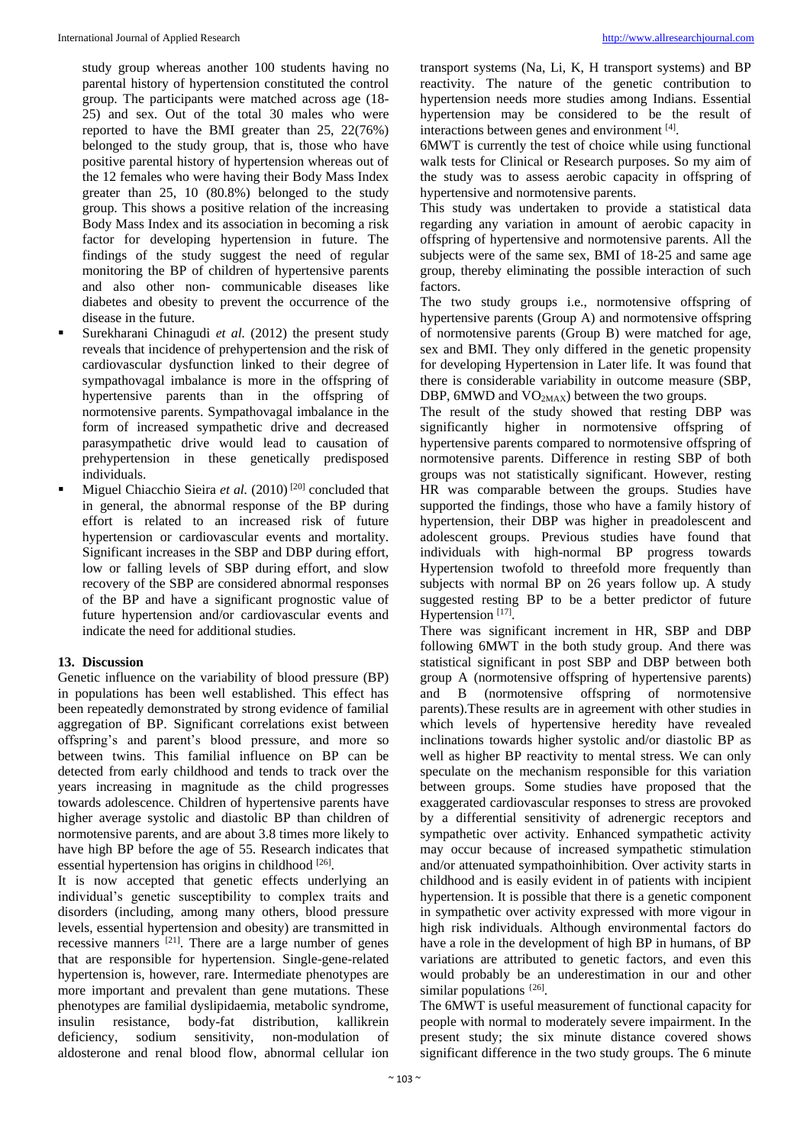study group whereas another 100 students having no parental history of hypertension constituted the control group. The participants were matched across age (18- 25) and sex. Out of the total 30 males who were reported to have the BMI greater than 25, 22(76%) belonged to the study group, that is, those who have positive parental history of hypertension whereas out of the 12 females who were having their Body Mass Index greater than 25, 10 (80.8%) belonged to the study group. This shows a positive relation of the increasing Body Mass Index and its association in becoming a risk factor for developing hypertension in future. The findings of the study suggest the need of regular monitoring the BP of children of hypertensive parents and also other non- communicable diseases like diabetes and obesity to prevent the occurrence of the disease in the future.

- Surekharani Chinagudi *et al.* (2012) the present study reveals that incidence of prehypertension and the risk of cardiovascular dysfunction linked to their degree of sympathovagal imbalance is more in the offspring of hypertensive parents than in the offspring of normotensive parents. Sympathovagal imbalance in the form of increased sympathetic drive and decreased parasympathetic drive would lead to causation of prehypertension in these genetically predisposed individuals.
- **Miguel Chiacchio Sieira et al.** (2010)<sup>[20]</sup> concluded that in general, the abnormal response of the BP during effort is related to an increased risk of future hypertension or cardiovascular events and mortality. Significant increases in the SBP and DBP during effort, low or falling levels of SBP during effort, and slow recovery of the SBP are considered abnormal responses of the BP and have a significant prognostic value of future hypertension and/or cardiovascular events and indicate the need for additional studies.

## **13. Discussion**

Genetic influence on the variability of blood pressure (BP) in populations has been well established. This effect has been repeatedly demonstrated by strong evidence of familial aggregation of BP. Significant correlations exist between offspring's and parent's blood pressure, and more so between twins. This familial influence on BP can be detected from early childhood and tends to track over the years increasing in magnitude as the child progresses towards adolescence. Children of hypertensive parents have higher average systolic and diastolic BP than children of normotensive parents, and are about 3.8 times more likely to have high BP before the age of 55. Research indicates that essential hypertension has origins in childhood [26].

It is now accepted that genetic effects underlying an individual's genetic susceptibility to complex traits and disorders (including, among many others, blood pressure levels, essential hypertension and obesity) are transmitted in recessive manners  $^{[21]}$ . There are a large number of genes that are responsible for hypertension. Single-gene-related hypertension is, however, rare. Intermediate phenotypes are more important and prevalent than gene mutations. These phenotypes are familial dyslipidaemia, metabolic syndrome, insulin resistance, body-fat distribution, kallikrein deficiency, sodium sensitivity, non-modulation of aldosterone and renal blood flow, abnormal cellular ion

transport systems (Na, Li, K, H transport systems) and BP reactivity. The nature of the genetic contribution to hypertension needs more studies among Indians. Essential hypertension may be considered to be the result of interactions between genes and environment [4].

6MWT is currently the test of choice while using functional walk tests for Clinical or Research purposes. So my aim of the study was to assess aerobic capacity in offspring of hypertensive and normotensive parents.

This study was undertaken to provide a statistical data regarding any variation in amount of aerobic capacity in offspring of hypertensive and normotensive parents. All the subjects were of the same sex, BMI of 18-25 and same age group, thereby eliminating the possible interaction of such factors.

The two study groups i.e., normotensive offspring of hypertensive parents (Group A) and normotensive offspring of normotensive parents (Group B) were matched for age, sex and BMI. They only differed in the genetic propensity for developing Hypertension in Later life. It was found that there is considerable variability in outcome measure (SBP, DBP, 6MWD and  $VO<sub>2MAX</sub>$ ) between the two groups.

The result of the study showed that resting DBP was significantly higher in normotensive offspring of hypertensive parents compared to normotensive offspring of normotensive parents. Difference in resting SBP of both groups was not statistically significant. However, resting HR was comparable between the groups. Studies have supported the findings, those who have a family history of hypertension, their DBP was higher in preadolescent and adolescent groups. Previous studies have found that individuals with high-normal BP progress towards Hypertension twofold to threefold more frequently than subjects with normal BP on 26 years follow up. A study suggested resting BP to be a better predictor of future Hypertension<sup>[17]</sup>.

There was significant increment in HR, SBP and DBP following 6MWT in the both study group. And there was statistical significant in post SBP and DBP between both group A (normotensive offspring of hypertensive parents) and B (normotensive offspring of normotensive parents).These results are in agreement with other studies in which levels of hypertensive heredity have revealed inclinations towards higher systolic and/or diastolic BP as well as higher BP reactivity to mental stress. We can only speculate on the mechanism responsible for this variation between groups. Some studies have proposed that the exaggerated cardiovascular responses to stress are provoked by a differential sensitivity of adrenergic receptors and sympathetic over activity. Enhanced sympathetic activity may occur because of increased sympathetic stimulation and/or attenuated sympathoinhibition. Over activity starts in childhood and is easily evident in of patients with incipient hypertension. It is possible that there is a genetic component in sympathetic over activity expressed with more vigour in high risk individuals. Although environmental factors do have a role in the development of high BP in humans, of BP variations are attributed to genetic factors, and even this would probably be an underestimation in our and other similar populations <a>[26]</a>.

The 6MWT is useful measurement of functional capacity for people with normal to moderately severe impairment. In the present study; the six minute distance covered shows significant difference in the two study groups. The 6 minute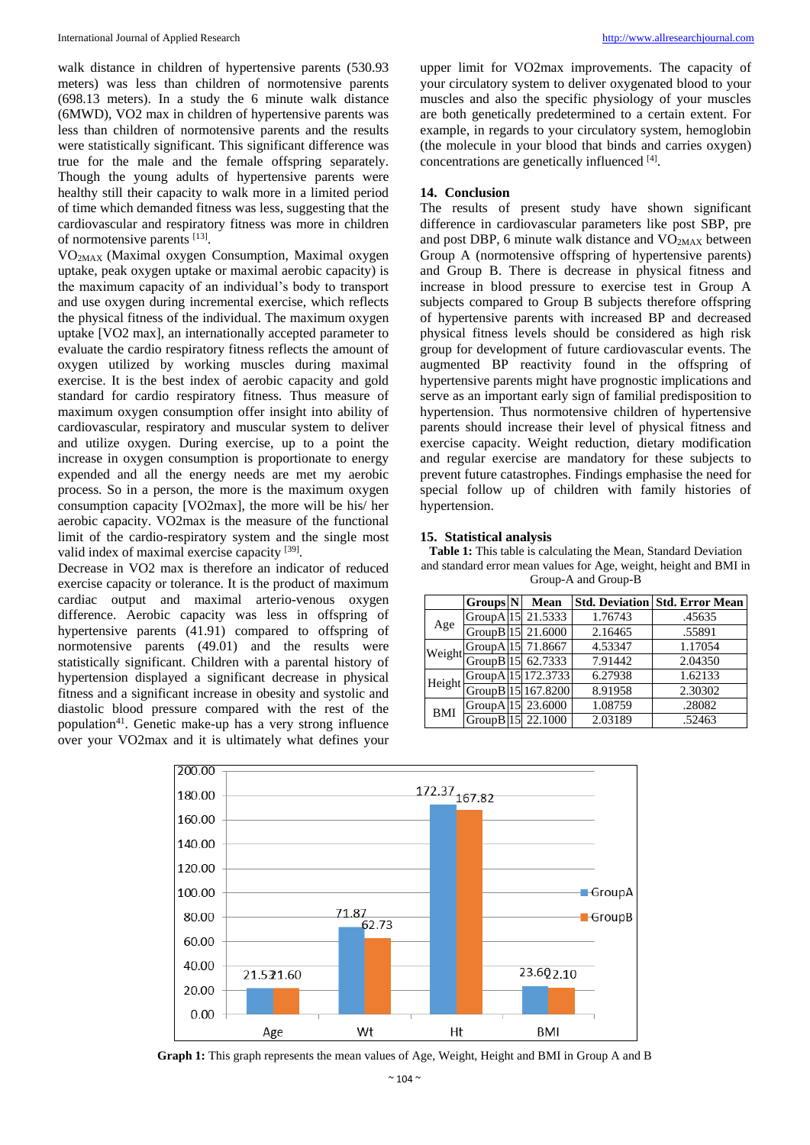walk distance in children of hypertensive parents (530.93 meters) was less than children of normotensive parents (698.13 meters). In a study the 6 minute walk distance (6MWD), VO2 max in children of hypertensive parents was less than children of normotensive parents and the results were statistically significant. This significant difference was true for the male and the female offspring separately. Though the young adults of hypertensive parents were healthy still their capacity to walk more in a limited period of time which demanded fitness was less, suggesting that the cardiovascular and respiratory fitness was more in children of normotensive parents [13].

VO2MAX (Maximal oxygen Consumption, Maximal oxygen uptake, peak oxygen uptake or maximal aerobic capacity) is the maximum capacity of an individual's body to transport and use oxygen during incremental exercise, which reflects the physical fitness of the individual. The maximum oxygen uptake [VO2 max], an internationally accepted parameter to evaluate the cardio respiratory fitness reflects the amount of oxygen utilized by working muscles during maximal exercise. It is the best index of aerobic capacity and gold standard for cardio respiratory fitness. Thus measure of maximum oxygen consumption offer insight into ability of cardiovascular, respiratory and muscular system to deliver and utilize oxygen. During exercise, up to a point the increase in oxygen consumption is proportionate to energy expended and all the energy needs are met my aerobic process. So in a person, the more is the maximum oxygen consumption capacity [VO2max], the more will be his/ her aerobic capacity. VO2max is the measure of the functional limit of the cardio-respiratory system and the single most valid index of maximal exercise capacity<sup>[39]</sup>.

Decrease in VO2 max is therefore an indicator of reduced exercise capacity or tolerance. It is the product of maximum cardiac output and maximal arterio-venous oxygen difference. Aerobic capacity was less in offspring of hypertensive parents (41.91) compared to offspring of normotensive parents (49.01) and the results were statistically significant. Children with a parental history of hypertension displayed a significant decrease in physical fitness and a significant increase in obesity and systolic and diastolic blood pressure compared with the rest of the population<sup>41</sup>. Genetic make-up has a very strong influence over your VO2max and it is ultimately what defines your

upper limit for VO2max improvements. The capacity of your circulatory system to deliver oxygenated blood to your muscles and also the specific physiology of your muscles are both genetically predetermined to a certain extent. For example, in regards to your circulatory system, hemoglobin (the molecule in your blood that binds and carries oxygen) concentrations are genetically influenced [4] .

#### **14. Conclusion**

The results of present study have shown significant difference in cardiovascular parameters like post SBP, pre and post DBP, 6 minute walk distance and  $VO<sub>2MAX</sub>$  between Group A (normotensive offspring of hypertensive parents) and Group B. There is decrease in physical fitness and increase in blood pressure to exercise test in Group A subjects compared to Group B subjects therefore offspring of hypertensive parents with increased BP and decreased physical fitness levels should be considered as high risk group for development of future cardiovascular events. The augmented BP reactivity found in the offspring of hypertensive parents might have prognostic implications and serve as an important early sign of familial predisposition to hypertension. Thus normotensive children of hypertensive parents should increase their level of physical fitness and exercise capacity. Weight reduction, dietary modification and regular exercise are mandatory for these subjects to prevent future catastrophes. Findings emphasise the need for special follow up of children with family histories of hypertension.

#### **15. Statistical analysis**

**Table 1:** This table is calculating the Mean, Standard Deviation and standard error mean values for Age, weight, height and BMI in Group-A and Group-B

|            | Groups <sup>N</sup>  | Mean               |         | <b>Std. Deviation Std. Error Mean</b> |
|------------|----------------------|--------------------|---------|---------------------------------------|
|            | GroupA <sup>15</sup> | 21.5333            | 1.76743 | .45635                                |
| Age        |                      | GroupB 15 21.6000  | 2.16465 | .55891                                |
| Weight     | GroupA <sup>15</sup> | 71.8667            | 4.53347 | 1.17054                               |
|            |                      | GroupB 15 62.7333  | 7.91442 | 2.04350                               |
| Height     |                      | GroupA 15 172.3733 | 6.27938 | 1.62133                               |
|            |                      | GroupB 15 167.8200 | 8.91958 | 2.30302                               |
| <b>BMI</b> | GroupA 15            | 23.6000            | 1.08759 | .28082                                |
|            |                      | GroupB115 22.1000  | 2.03189 | .52463                                |



**Graph 1:** This graph represents the mean values of Age, Weight, Height and BMI in Group A and B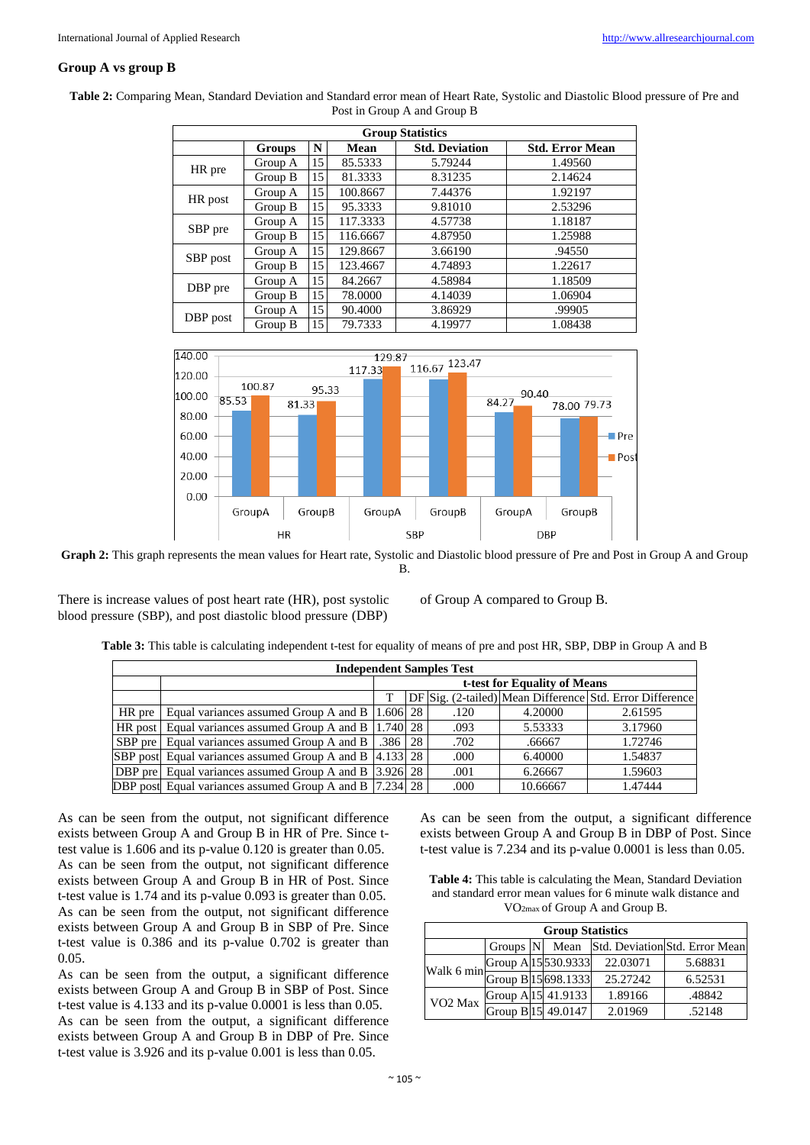# **Group A vs group B**

| <b>Group Statistics</b> |               |    |          |                       |                        |  |  |  |  |
|-------------------------|---------------|----|----------|-----------------------|------------------------|--|--|--|--|
|                         | <b>Groups</b> | N  | Mean     | <b>Std. Deviation</b> | <b>Std. Error Mean</b> |  |  |  |  |
|                         | Group A       | 15 | 85.5333  | 5.79244               | 1.49560                |  |  |  |  |
| HR pre                  | Group B       | 15 | 81.3333  | 8.31235               | 2.14624                |  |  |  |  |
|                         | Group A       | 15 | 100.8667 | 7.44376               | 1.92197                |  |  |  |  |
| HR post                 | Group B       | 15 | 95.3333  | 9.81010               | 2.53296                |  |  |  |  |
|                         | Group A       | 15 | 117.3333 | 4.57738               | 1.18187                |  |  |  |  |
| SBP pre                 | Group B       | 15 | 116.6667 | 4.87950               | 1.25988                |  |  |  |  |
|                         | Group A       | 15 | 129.8667 | 3.66190               | .94550                 |  |  |  |  |
| SBP post                | Group B       | 15 | 123.4667 | 4.74893               | 1.22617                |  |  |  |  |
|                         | Group A       | 15 | 84.2667  | 4.58984               | 1.18509                |  |  |  |  |
| DBP pre                 | Group B       | 15 | 78.0000  | 4.14039               | 1.06904                |  |  |  |  |
|                         | Group A       | 15 | 90.4000  | 3.86929               | .99905                 |  |  |  |  |
| DBP post                | Group B       | 15 | 79.7333  | 4.19977               | 1.08438                |  |  |  |  |

**Table 2:** Comparing Mean, Standard Deviation and Standard error mean of Heart Rate, Systolic and Diastolic Blood pressure of Pre and Post in Group A and Group B



**Graph 2:** This graph represents the mean values for Heart rate, Systolic and Diastolic blood pressure of Pre and Post in Group A and Group B.

There is increase values of post heart rate (HR), post systolic blood pressure (SBP), and post diastolic blood pressure (DBP)

of Group A compared to Group B.

|  | Table 3: This table is calculating independent t-test for equality of means of pre and post HR, SBP, DBP in Group A and B |  |  |  |  |  |
|--|---------------------------------------------------------------------------------------------------------------------------|--|--|--|--|--|
|  |                                                                                                                           |  |  |  |  |  |

| <b>Independent Samples Test</b> |                                                                  |                              |  |      |          |                                                          |  |  |  |  |
|---------------------------------|------------------------------------------------------------------|------------------------------|--|------|----------|----------------------------------------------------------|--|--|--|--|
|                                 |                                                                  | t-test for Equality of Means |  |      |          |                                                          |  |  |  |  |
|                                 |                                                                  |                              |  |      |          | DF Sig. (2-tailed) Mean Difference Std. Error Difference |  |  |  |  |
| $HR$ pre $\vert$                | Equal variances assumed Group A and B 1.606 28                   |                              |  | .120 | 4.20000  | 2.61595                                                  |  |  |  |  |
|                                 | HR post Equal variances assumed Group A and B 1.740 28           |                              |  | .093 | 5.53333  | 3.17960                                                  |  |  |  |  |
|                                 | SBP pre Equal variances assumed Group A and B   .386   28        |                              |  | .702 | .66667   | 1.72746                                                  |  |  |  |  |
|                                 | SBP post Equal variances assumed Group A and B 4.133 28          |                              |  | .000 | 6.40000  | 1.54837                                                  |  |  |  |  |
|                                 | <b>DBP</b> pre Equal variances assumed Group A and B 3.926 28    |                              |  | .001 | 6.26667  | 1.59603                                                  |  |  |  |  |
|                                 | <b>DBP</b> post Equal variances assumed Group A and B [7.234] 28 |                              |  | .000 | 10.66667 | 1.47444                                                  |  |  |  |  |

As can be seen from the output, not significant difference exists between Group A and Group B in HR of Pre. Since ttest value is 1.606 and its p-value 0.120 is greater than 0.05. As can be seen from the output, not significant difference exists between Group A and Group B in HR of Post. Since t-test value is 1.74 and its p-value 0.093 is greater than 0.05. As can be seen from the output, not significant difference exists between Group A and Group B in SBP of Pre. Since t-test value is 0.386 and its p-value 0.702 is greater than 0.05.

As can be seen from the output, a significant difference exists between Group A and Group B in SBP of Post. Since t-test value is 4.133 and its p-value 0.0001 is less than 0.05. As can be seen from the output, a significant difference exists between Group A and Group B in DBP of Pre. Since t-test value is 3.926 and its p-value 0.001 is less than 0.05.

As can be seen from the output, a significant difference exists between Group A and Group B in DBP of Post. Since t-test value is 7.234 and its p-value 0.0001 is less than 0.05.

**Table 4:** This table is calculating the Mean, Standard Deviation and standard error mean values for 6 minute walk distance and VO2max of Group A and Group B.

| <b>Group Statistics</b>                                |                     |  |                     |          |         |  |  |  |
|--------------------------------------------------------|---------------------|--|---------------------|----------|---------|--|--|--|
| Std. Deviation Std. Error Mean<br>Groups $ N $<br>Mean |                     |  |                     |          |         |  |  |  |
| Walk 6 min                                             | Group A 15 530.9333 |  |                     | 22.03071 | 5.68831 |  |  |  |
|                                                        |                     |  | Group B 15 698.1333 | 25.27242 | 6.52531 |  |  |  |
| VO <sub>2</sub> Max                                    |                     |  | Group A 15 41.9133  | 1.89166  | .48842  |  |  |  |
|                                                        |                     |  | Group B 15 49.0147  | 2.01969  | .52148  |  |  |  |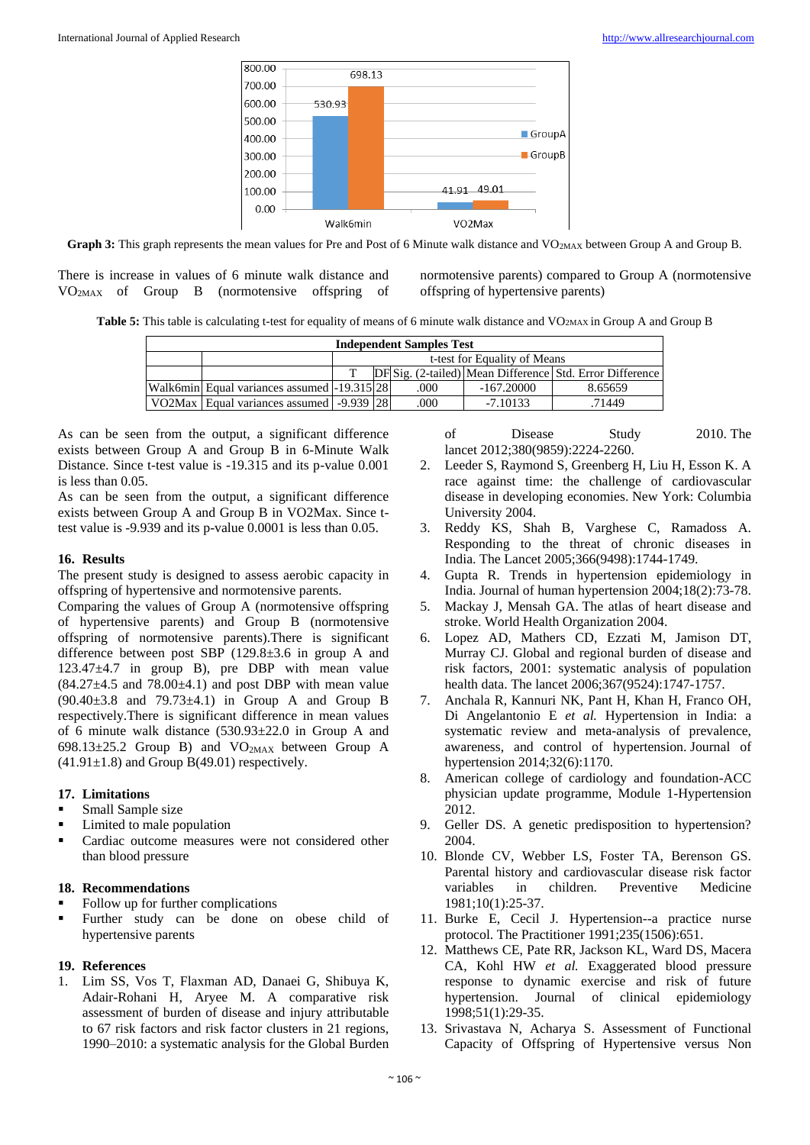

Graph 3: This graph represents the mean values for Pre and Post of 6 Minute walk distance and VO<sub>2MAX</sub> between Group A and Group B.

There is increase in values of 6 minute walk distance and VO2MAX of Group B (normotensive offspring of normotensive parents) compared to Group A (normotensive offspring of hypertensive parents)

**Table 5:** This table is calculating t-test for equality of means of 6 minute walk distance and VO<sub>2MAX</sub> in Group A and Group B

| <b>Independent Samples Test</b> |                                                |                                                          |  |      |              |         |  |  |  |  |
|---------------------------------|------------------------------------------------|----------------------------------------------------------|--|------|--------------|---------|--|--|--|--|
|                                 | t-test for Equality of Means                   |                                                          |  |      |              |         |  |  |  |  |
|                                 |                                                | DF Sig. (2-tailed) Mean Difference Std. Error Difference |  |      |              |         |  |  |  |  |
|                                 | Walk6min Equal variances assumed -19.315 28    |                                                          |  | .000 | $-167.20000$ | 8.65659 |  |  |  |  |
|                                 | VO2Max   Equal variances assumed   -9.939   28 |                                                          |  | .000 | $-7.10133$   | .71449  |  |  |  |  |

As can be seen from the output, a significant difference exists between Group A and Group B in 6-Minute Walk Distance. Since t-test value is -19.315 and its p-value 0.001 is less than 0.05.

As can be seen from the output, a significant difference exists between Group A and Group B in VO2Max. Since ttest value is -9.939 and its p-value 0.0001 is less than 0.05.

## **16. Results**

The present study is designed to assess aerobic capacity in offspring of hypertensive and normotensive parents.

Comparing the values of Group A (normotensive offspring of hypertensive parents) and Group B (normotensive offspring of normotensive parents).There is significant difference between post SBP (129.8±3.6 in group A and 123.47±4.7 in group B), pre DBP with mean value  $(84.27\pm4.5$  and  $78.00\pm4.1)$  and post DBP with mean value (90.40±3.8 and 79.73±4.1) in Group A and Group B respectively.There is significant difference in mean values of 6 minute walk distance (530.93±22.0 in Group A and 698.13 $\pm$ 25.2 Group B) and VO<sub>2MAX</sub> between Group A  $(41.91\pm1.8)$  and Group B(49.01) respectively.

## **17. Limitations**

- Small Sample size
- Limited to male population
- **Cardiac outcome measures were not considered other** than blood pressure

#### **18. Recommendations**

- Follow up for further complications
- Further study can be done on obese child of hypertensive parents

#### **19. References**

1. Lim SS, Vos T, Flaxman AD, Danaei G, Shibuya K, Adair-Rohani H, Aryee M. A comparative risk assessment of burden of disease and injury attributable to 67 risk factors and risk factor clusters in 21 regions, 1990–2010: a systematic analysis for the Global Burden of Disease Study 2010. The lancet 2012;380(9859):2224-2260.

- 2. Leeder S, Raymond S, Greenberg H, Liu H, Esson K. A race against time: the challenge of cardiovascular disease in developing economies. New York: Columbia University 2004.
- 3. Reddy KS, Shah B, Varghese C, Ramadoss A. Responding to the threat of chronic diseases in India. The Lancet 2005;366(9498):1744-1749.
- 4. Gupta R. Trends in hypertension epidemiology in India. Journal of human hypertension 2004;18(2):73-78.
- 5. Mackay J, Mensah GA. The atlas of heart disease and stroke. World Health Organization 2004.
- 6. Lopez AD, Mathers CD, Ezzati M, Jamison DT, Murray CJ. Global and regional burden of disease and risk factors, 2001: systematic analysis of population health data. The lancet 2006;367(9524):1747-1757.
- 7. Anchala R, Kannuri NK, Pant H, Khan H, Franco OH, Di Angelantonio E *et al.* Hypertension in India: a systematic review and meta-analysis of prevalence, awareness, and control of hypertension. Journal of hypertension 2014;32(6):1170.
- 8. American college of cardiology and foundation-ACC physician update programme, Module 1-Hypertension 2012.
- 9. Geller DS. A genetic predisposition to hypertension? 2004.
- 10. Blonde CV, Webber LS, Foster TA, Berenson GS. Parental history and cardiovascular disease risk factor variables in children. Preventive Medicine 1981;10(1):25-37.
- 11. Burke E, Cecil J. Hypertension--a practice nurse protocol. The Practitioner 1991;235(1506):651.
- 12. Matthews CE, Pate RR, Jackson KL, Ward DS, Macera CA, Kohl HW *et al.* Exaggerated blood pressure response to dynamic exercise and risk of future hypertension. Journal of clinical epidemiology 1998;51(1):29-35.
- 13. Srivastava N, Acharya S. Assessment of Functional Capacity of Offspring of Hypertensive versus Non